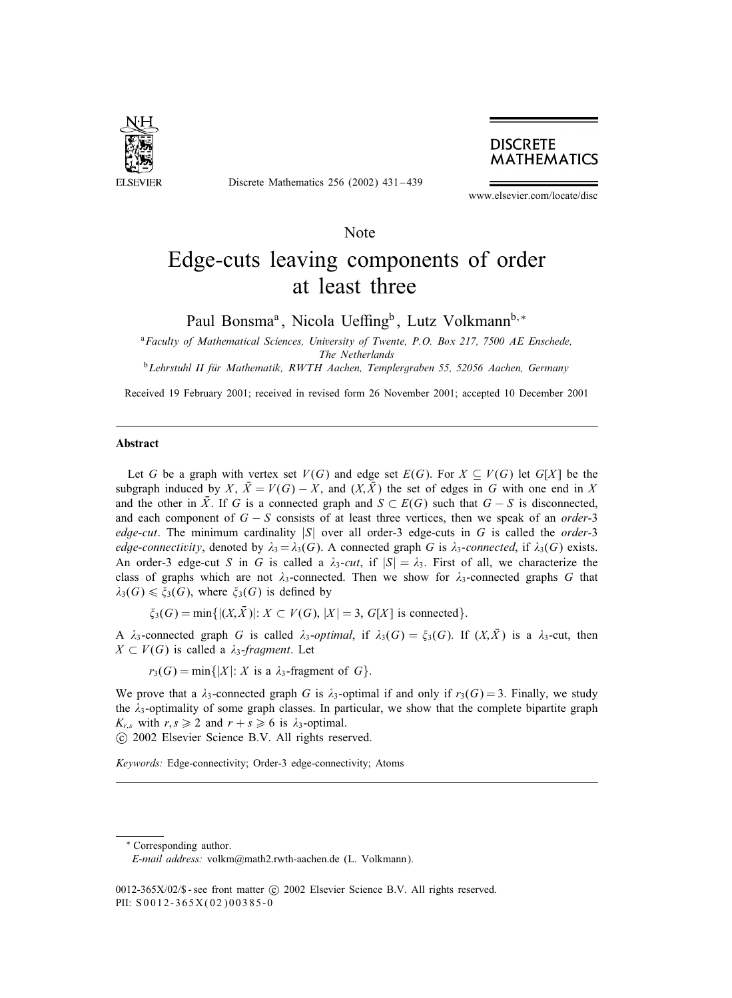

Discrete Mathematics 256 (2002) 431 – 439

# **DISCRETE MATHEMATICS**

www.elsevier.com/locate/disc

# Note

# Edge-cuts leaving components of order at least three

Paul Bonsma<sup>a</sup>, Nicola Ueffing<sup>b</sup>, Lutz Volkmann<sup>b,∗</sup>

<sup>a</sup>*Faculty of Mathematical Sciences, University of Twente, P.O. Box 217, 7500 AE Enschede, The Netherlands*

<sup>b</sup>*Lehrstuhl II fur Mathematik, RWTH Aachen, Templergraben 55, 52056 Aachen, Germany (*

Received 19 February 2001; received in revised form 26 November 2001; accepted 10 December 2001

## Abstract

Let G be a graph with vertex set  $V(G)$  and edge set  $E(G)$ . For  $X \subseteq V(G)$  let  $G[X]$  be the subgraph induced by X,  $\bar{X} = V(G) - X$ , and  $(X, \bar{X})$  the set of edges in G with one end in X and the other in  $\overline{X}$ . If G is a connected graph and  $S \subset E(G)$  such that  $G - S$  is disconnected, and each component of G − S consists of at least three vertices, then we speak of an *order*-3 *edge-cut*. The minimum cardinality |S| over all order-3 edge-cuts in G is called the *order*-3 *edge-connectivity*, denoted by  $\lambda_3 = \lambda_3(G)$ . A connected graph G is  $\lambda_3$ -connected, if  $\lambda_3(G)$  exists. An order-3 edge-cut S in G is called a  $\lambda_3$ -cut, if  $|S| = \lambda_3$ . First of all, we characterize the class of graphs which are not  $\lambda_3$ -connected. Then we show for  $\lambda_3$ -connected graphs G that  $\lambda_3(G) \leq \xi_3(G)$ , where  $\xi_3(G)$  is defined by

 $\xi_3(G) = \min\{|(X,\bar{X})|: X \subset V(G), |X| = 3, G[X] \text{ is connected}\}.$ 

A  $\lambda_3$ -connected graph G is called  $\lambda_3$ -optimal, if  $\lambda_3(G) = \xi_3(G)$ . If  $(X,\overline{X})$  is a  $\lambda_3$ -cut, then  $X \subset V(G)$  is called a  $\lambda_3$ -fragment. Let

 $r_3(G) = \min\{|X|: X \text{ is a } \lambda_3\text{-fragment of } G\}.$ 

We prove that a  $\lambda_3$ -connected graph G is  $\lambda_3$ -optimal if and only if  $r_3(G) = 3$ . Finally, we study the  $\lambda_3$ -optimality of some graph classes. In particular, we show that the complete bipartite graph  $K_{r,s}$  with  $r, s \geq 2$  and  $r + s \geq 6$  is  $\lambda_3$ -optimal.

c 2002 Elsevier Science B.V. All rights reserved.

*Keywords:* Edge-connectivity; Order-3 edge-connectivity; Atoms

\* Corresponding author.

*E-mail address:* volkm@math2.rwth-aachen.de (L. Volkmann).

<sup>0012-365</sup>X/02/\$ - see front matter  $\odot$  2002 Elsevier Science B.V. All rights reserved. PII: S 0012-365X(02)00385-0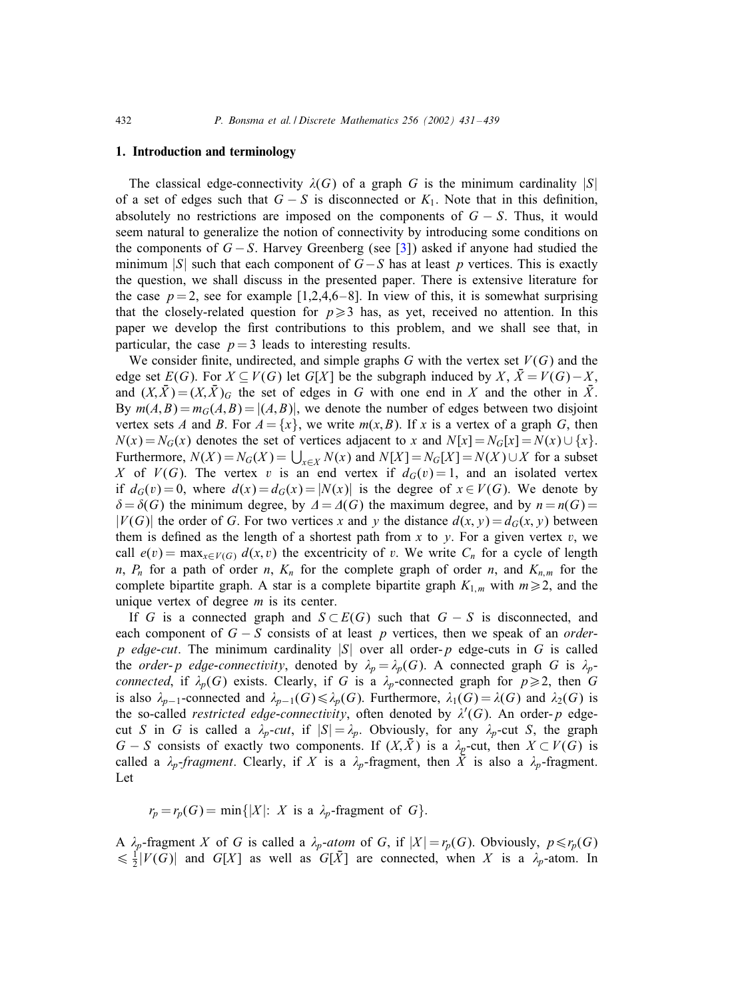#### 1. Introduction and terminology

The classical edge-connectivity  $\lambda(G)$  of a graph G is the minimum cardinality  $|S|$ of a set of edges such that  $G - S$  is disconnected or  $K_1$ . Note that in this definition, absolutely no restrictions are imposed on the components of  $G - S$ . Thus, it would seem natural to generalize the notion of connectivity by introducing some conditions on the components of  $G - S$ . Harvey Greenberg (see [\[3\]](#page-8-0)) asked if anyone had studied the minimum |S| such that each component of  $G-S$  has at least p vertices. This is exactly the question, we shall discuss in the presented paper. There is extensive literature for the case  $p = 2$ , see for example [1,2,4,6-8]. In view of this, it is somewhat surprising that the closely-related question for  $p \ge 3$  has, as yet, received no attention. In this paper we develop the first contributions to this problem, and we shall see that, in particular, the case  $p = 3$  leads to interesting results.

We consider finite, undirected, and simple graphs G with the vertex set  $V(G)$  and the edge set  $E(G)$ . For  $X \subseteq V(G)$  let  $G[X]$  be the subgraph induced by  $X, \overline{X} = V(G) - X$ , and  $(X,\bar{X})=(X,\bar{X})_G$  the set of edges in G with one end in X and the other in  $\bar{X}$ . By  $m(A, B) = m_G(A, B) = |(A, B)|$ , we denote the number of edges between two disjoint vertex sets A and B. For  $A = \{x\}$ , we write  $m(x, B)$ . If x is a vertex of a graph G, then  $N(x) = N_G(x)$  denotes the set of vertices adjacent to x and  $N[x] = N_G[x] = N(x) \cup \{x\}$ . Furthermore,  $N(X) = N_G(X) = \bigcup_{x \in X} N(x)$  and  $N[X] = N_G[X] = N(X) \cup X$  for a subset X of  $V(G)$ . The vertex v is an end vertex if  $d_G(v) = 1$ , and an isolated vertex if  $d_G(v) = 0$ , where  $d(x) = d_G(x) = |N(x)|$  is the degree of  $x \in V(G)$ . We denote by  $\delta = \delta(G)$  the minimum degree, by  $\Delta = \Delta(G)$  the maximum degree, and by  $n = n(G)$  $|V(G)|$  the order of G. For two vertices x and y the distance  $d(x, y) = d_G(x, y)$  between them is defined as the length of a shortest path from x to y. For a given vertex v, we call  $e(v) = \max_{x \in V(G)} d(x, v)$  the excentricity of v. We write  $C_n$  for a cycle of length n,  $P_n$  for a path of order n,  $K_n$  for the complete graph of order n, and  $K_{n,m}$  for the complete bipartite graph. A star is a complete bipartite graph  $K_{1,m}$  with  $m \geq 2$ , and the unique vertex of degree  $m$  is its center.

If G is a connected graph and  $S \subset E(G)$  such that  $G - S$  is disconnected, and each component of G − S consists of at least p vertices, then we speak of an *order*p *edge-cut*. The minimum cardinality  $|S|$  over all order-p edge-cuts in G is called the *order-p edge-connectivity*, denoted by  $\lambda_p = \lambda_p(G)$ . A connected graph G is  $\lambda_p$ *connected*, if  $\lambda_p(G)$  exists. Clearly, if G is a  $\lambda_p$ -connected graph for  $p \ge 2$ , then G is also  $\lambda_{p-1}$ -connected and  $\lambda_{p-1}(G)\leq \lambda_p(G)$ . Furthermore,  $\lambda_1(G) = \lambda(G)$  and  $\lambda_2(G)$  is the so-called *restricted edge-connectivity*, often denoted by  $\lambda'(G)$ . An order-p edgecut S in G is called a  $\lambda_p$ -cut, if  $|S| = \lambda_p$ . Obviously, for any  $\lambda_p$ -cut S, the graph  $G - S$  consists of exactly two components. If  $(X,\bar{X})$  is a  $\lambda_p$ -cut, then  $X \subset V(G)$  is called a  $\lambda_p$ -fragment. Clearly, if X is a  $\lambda_p$ -fragment, then  $\overline{X}$  is also a  $\lambda_p$ -fragment. Let

 $r_p = r_p(G) = \min\{|X|: X \text{ is a } \lambda_p\text{-fragment of } G\}.$ 

A  $\lambda_p$ -fragment X of G is called a  $\lambda_p$ -atom of G, if  $|X| = r_p(G)$ . Obviously,  $p \le r_p(G)$  $\leq \frac{1}{2}|V(G)|$  and  $G[X]$  as well as  $G[\overline{X}]$  are connected, when X is a  $\lambda_p$ -atom. In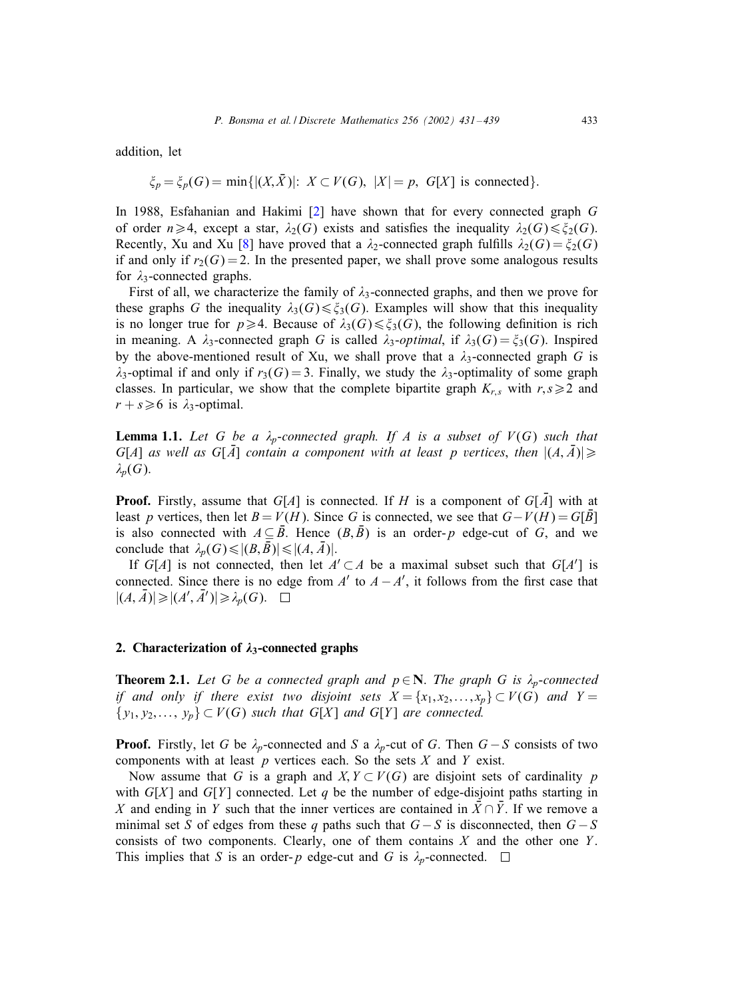<span id="page-2-0"></span>addition, let

$$
\xi_p = \xi_p(G) = \min\{|(X,\bar{X})|: X \subset V(G), |X| = p, G[X] \text{ is connected}\}.
$$

In 1988, Esfahanian and Hakimi [\[2\]](#page-8-0) have shown that for every connected graph G of order  $n \geq 4$ , except a star,  $\lambda_2(G)$  exists and satisfies the inequality  $\lambda_2(G) \leq \xi_2(G)$ . Recently, Xu and Xu [\[8\]](#page-8-0) have proved that a  $\lambda_2$ -connected graph fulfills  $\lambda_2(G) = \xi_2(G)$ if and only if  $r_2(G) = 2$ . In the presented paper, we shall prove some analogous results for  $\lambda_3$ -connected graphs.

First of all, we characterize the family of  $\lambda_3$ -connected graphs, and then we prove for these graphs G the inequality  $\lambda_3(G) \leq \xi_3(G)$ . Examples will show that this inequality is no longer true for  $p \geq 4$ . Because of  $\lambda_3(G) \leq \xi_3(G)$ , the following definition is rich in meaning. A  $\lambda_3$ -connected graph G is called  $\lambda_3$ -optimal, if  $\lambda_3(G) = \xi_3(G)$ . Inspired by the above-mentioned result of Xu, we shall prove that a  $\lambda_3$ -connected graph G is  $\lambda_3$ -optimal if and only if  $r_3(G) = 3$ . Finally, we study the  $\lambda_3$ -optimality of some graph classes. In particular, we show that the complete bipartite graph  $K_{r,s}$  with  $r,s \geq 2$  and  $r + s \ge 6$  is  $\lambda_3$ -optimal.

**Lemma 1.1.** Let G be a  $\lambda_p$ -connected graph. If A is a subset of  $V(G)$  such that  $G[A]$  *as well as*  $G[A]$  *contain a component with at least p vertices, then*  $|(A, \overline{A})| \ge$  $\lambda_p(G)$ .

**Proof.** Firstly, assume that  $G[A]$  is connected. If H is a component of  $G[\overline{A}]$  with at least p vertices, then let  $B = V(H)$ . Since G is connected, we see that  $G - V(H) = G[\bar{B}]$ is also connected with  $A \subseteq \overline{B}$ . Hence  $(B,\overline{B})$  is an order-p edge-cut of G, and we conclude that  $\lambda_p(G) \leq |(B, \bar{B})| \leq |(A, \bar{A})|$ .

If  $G[A]$  is not connected, then let  $A' \subset A$  be a maximal subset such that  $G[A']$  is connected. Since there is no edge from  $A'$  to  $A - A'$ , it follows from the first case that  $|(A,\overline{A})| \geqslant |(A',\overline{A}')| \geqslant \lambda_p(G).$ 

#### 2. Characterization of  $\lambda_3$ -connected graphs

**Theorem 2.1.** *Let* G *be a connected graph and*  $p \in \mathbb{N}$ *. The graph* G *is*  $\lambda_p$ -connected *if and only if there exist two disjoint sets*  $X = \{x_1, x_2, \ldots, x_p\} \subset V(G)$  *and*  $Y =$  $\{y_1, y_2, \ldots, y_p\} \subset V(G)$  *such that*  $G[X]$  *and*  $G[Y]$  *are connected.* 

**Proof.** Firstly, let G be  $\lambda_p$ -connected and S a  $\lambda_p$ -cut of G. Then  $G-S$  consists of two components with at least  $p$  vertices each. So the sets  $X$  and  $Y$  exist.

Now assume that G is a graph and  $X, Y \subset V(G)$  are disjoint sets of cardinality p with  $G[X]$  and  $G[Y]$  connected. Let q be the number of edge-disjoint paths starting in X and ending in Y such that the inner vertices are contained in  $\bar{X} \cap \bar{Y}$ . If we remove a minimal set S of edges from these q paths such that  $G - S$  is disconnected, then  $G - S$ consists of two components. Clearly, one of them contains  $X$  and the other one  $Y$ . This implies that S is an order-p edge-cut and G is  $\lambda_p$ -connected.  $\Box$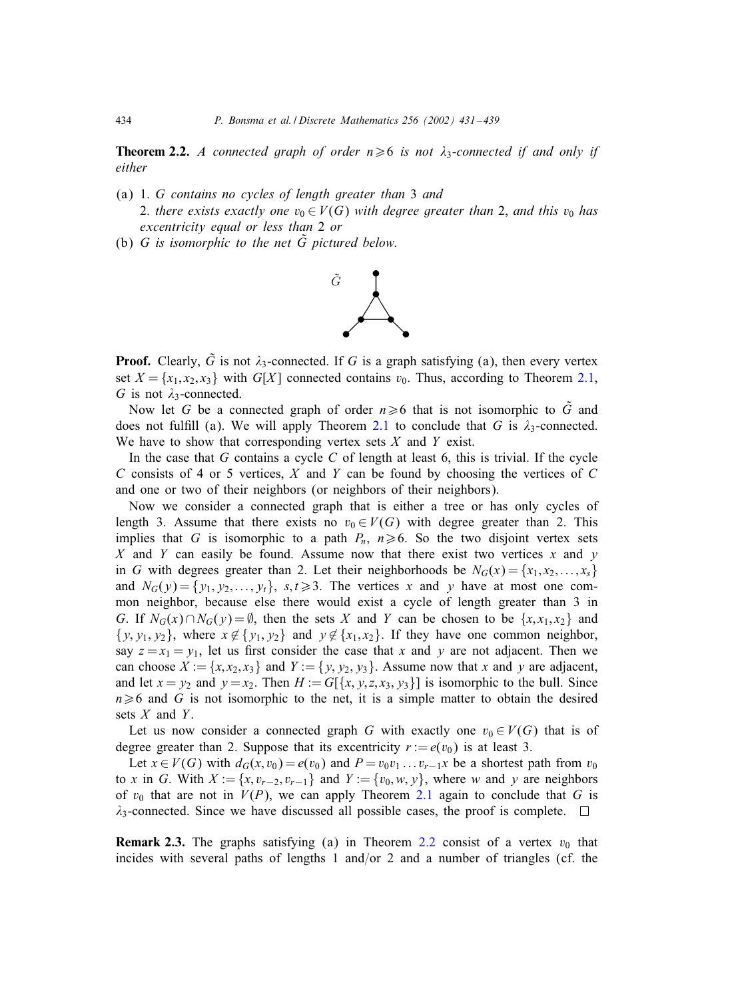**Theorem 2.2.** *A connected graph of order*  $n \ge 6$  *is not*  $\lambda_3$ -*connected if and only if either*

- (a) 1. G *contains no cycles of length greater than* 3 *and* 2. *there exists exactly one*  $v_0 \in V(G)$  *with degree greater than* 2, *and this*  $v_0$  *has* 
	- *excentricity equal or less than* 2 *or*
- (b)  $G$  *is isomorphic to the net*  $\tilde{G}$  *pictured below.*



**Proof.** Clearly,  $\tilde{G}$  is not  $\lambda_3$ -connected. If G is a graph satisfying (a), then every vertex set  $X = \{x_1, x_2, x_3\}$  with  $G[X]$  connected contains  $v_0$ . Thus, according to Theorem [2.1,](#page-2-0) G is not  $\lambda_3$ -connected.

Now let G be a connected graph of order  $n \ge 6$  that is not isomorphic to  $\tilde{G}$  and does not fulfill (a). We will apply Theorem [2.1](#page-2-0) to conclude that G is  $\lambda_3$ -connected. We have to show that corresponding vertex sets  $X$  and  $Y$  exist.

In the case that  $G$  contains a cycle  $C$  of length at least 6, this is trivial. If the cycle C consists of 4 or 5 vertices, X and Y can be found by choosing the vertices of C and one or two of their neighbors (or neighbors of their neighbors).

Now we consider a connected graph that is either a tree or has only cycles of length 3. Assume that there exists no  $v_0 \in V(G)$  with degree greater than 2. This implies that G is isomorphic to a path  $P_n$ ,  $n \ge 6$ . So the two disjoint vertex sets  $X$  and  $Y$  can easily be found. Assume now that there exist two vertices  $x$  and  $y$ in G with degrees greater than 2. Let their neighborhoods be  $N_G(x) = \{x_1, x_2, \dots, x_s\}$ and  $N_G(y) = \{y_1, y_2, \ldots, y_t\}, s, t \ge 3$ . The vertices x and y have at most one common neighbor, because else there would exist a cycle of length greater than 3 in G. If  $N_G(x) \cap N_G(y) = \emptyset$ , then the sets X and Y can be chosen to be  $\{x, x_1, x_2\}$  and  $\{y, y_1, y_2\}$ , where  $x \notin \{y_1, y_2\}$  and  $y \notin \{x_1, x_2\}$ . If they have one common neighbor, say  $z = x_1 = y_1$ , let us first consider the case that x and y are not adjacent. Then we can choose  $X := \{x, x_2, x_3\}$  and  $Y := \{y, y_2, y_3\}$ . Assume now that x and y are adjacent, and let  $x = y_2$  and  $y = x_2$ . Then  $H := G[\{x, y, z, x_3, y_3\}]$  is isomorphic to the bull. Since  $n \geq 6$  and G is not isomorphic to the net, it is a simple matter to obtain the desired sets  $X$  and  $Y$ .

Let us now consider a connected graph G with exactly one  $v_0 \in V(G)$  that is of degree greater than 2. Suppose that its excentricity  $r := e(v_0)$  is at least 3.

Let  $x \in V(G)$  with  $d_G(x, v_0) = e(v_0)$  and  $P = v_0v_1 \dots v_{r-1}x$  be a shortest path from  $v_0$ to x in G. With  $X := \{x, v_{r-2}, v_{r-1}\}\$  and  $Y := \{v_0, w, y\}$ , where w and y are neighbors of  $v_0$  that are not in  $V(P)$ , we can apply Theorem [2.1](#page-2-0) again to conclude that G is  $\lambda_3$ -connected. Since we have discussed all possible cases, the proof is complete.  $\Box$ 

**Remark 2.3.** The graphs satisfying (a) in Theorem 2.2 consist of a vertex  $v_0$  that incides with several paths of lengths 1 and/or 2 and a number of triangles (cf. the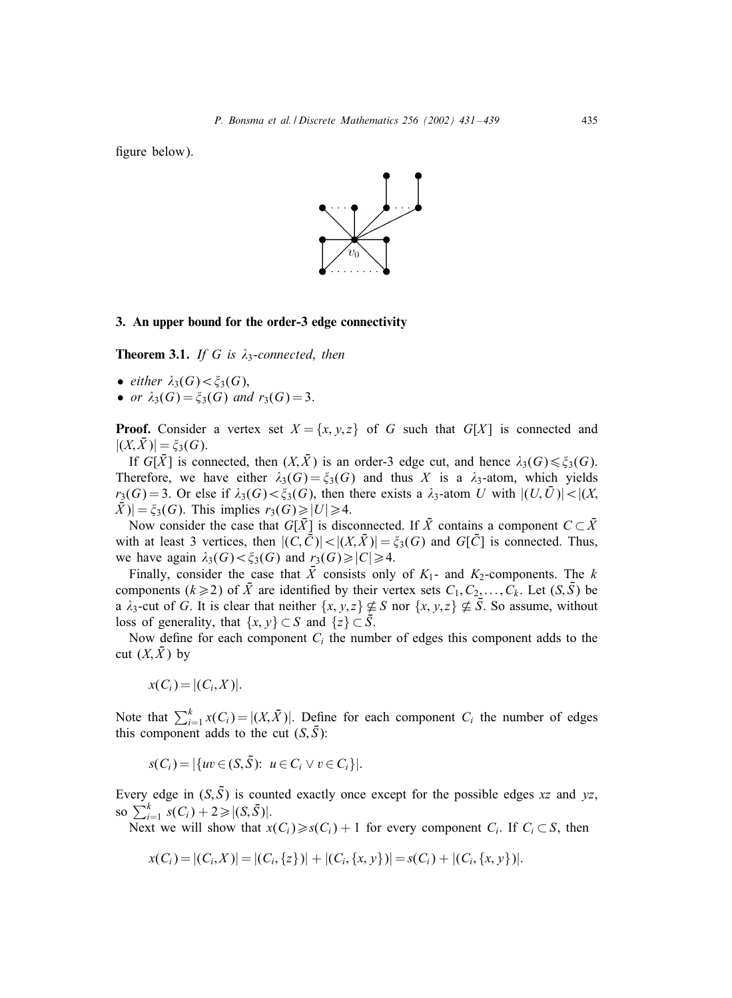<span id="page-4-0"></span>figure below).



## 3. An upper bound for the order-3 edge connectivity

**Theorem 3.1.** *If* G *is*  $\lambda_3$ -connected, then

- *either*  $\lambda_3(G) < \xi_3(G)$ ,
- *or*  $\lambda_3(G) = \xi_3(G)$  *and*  $r_3(G) = 3$ .

**Proof.** Consider a vertex set  $X = \{x, y, z\}$  of G such that  $G[X]$  is connected and  $|(X,\bar{X})| = \xi_3(G).$ 

If  $G[\bar{X}]$  is connected, then  $(X,\bar{X})$  is an order-3 edge cut, and hence  $\lambda_3(G) \leq \xi_3(G)$ . Therefore, we have either  $\lambda_3(G) = \xi_3(G)$  and thus X is a  $\lambda_3$ -atom, which yields  $r_3(G) = 3$ . Or else if  $\lambda_3(G) < \xi_3(G)$ , then there exists a  $\lambda_3$ -atom U with  $|(U, \overline{U})| < |(X, \overline{U})|$  $|\bar{X}|\ = \xi_3(G)$ . This implies  $r_3(G) \ge |U| \ge 4$ .

Now consider the case that  $G[\bar{X}]$  is disconnected. If  $\bar{X}$  contains a component  $C \subset \bar{X}$ with at least 3 vertices, then  $|(C,\bar{C})|<|(X,\bar{X})|=\xi_3(G)$  and  $G[\bar{C}]$  is connected. Thus, we have again  $\lambda_3(G) < \xi_3(G)$  and  $r_3(G) \ge |C| \ge 4$ .

Finally, consider the case that  $\bar{X}$  consists only of  $K_1$ - and  $K_2$ -components. The k components ( $k \ge 2$ ) of  $\bar{X}$  are identified by their vertex sets  $C_1, C_2, \ldots, C_k$ . Let  $(S, \bar{S})$  be a  $\lambda_3$ -cut of G. It is clear that neither  $\{x, y, z\} \nsubseteq S$  nor  $\{x, y, z\} \nsubseteq \overline{S}$ . So assume, without loss of generality, that  $\{x, y\} \subset S$  and  $\{z\} \subset S$ .

Now define for each component  $C_i$  the number of edges this component adds to the cut  $(X,\bar{X})$  by

$$
x(C_i) = |(C_i, X)|.
$$

Note that  $\sum_{i=1}^{k} x(C_i) = |(X, \bar{X})|$ . Define for each component  $C_i$  the number of edges this component adds to the cut  $(S,\bar{S})$ :

$$
s(C_i) = |\{uv \in (S, \bar{S}) : u \in C_i \lor v \in C_i\}|.
$$

Every edge in  $(S, \bar{S})$  is counted exactly once except for the possible edges xz and yz, so  $\sum_{i=1}^{k} s(C_i) + 2 \ge |(S, \bar{S})|$ .

Next we will show that  $x(C_i) \ge s(C_i) + 1$  for every component  $C_i$ . If  $C_i \subset S$ , then

$$
x(C_i) = |(C_i, X)| = |(C_i, \{z\})| + |(C_i, \{x, y\})| = s(C_i) + |(C_i, \{x, y\})|.
$$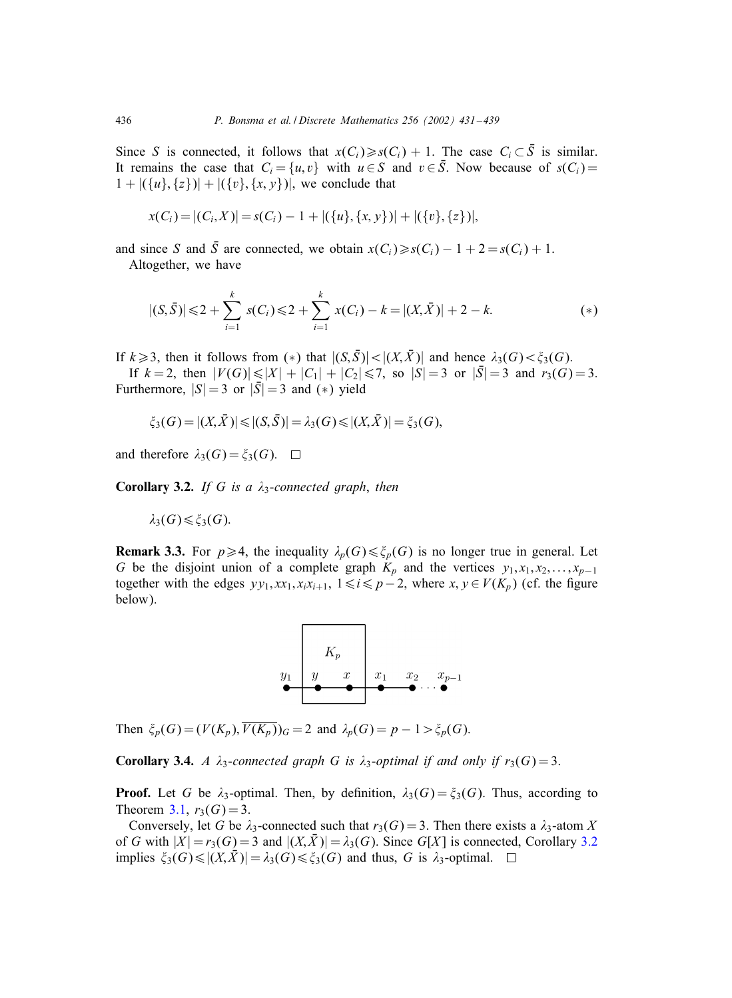<span id="page-5-0"></span>Since S is connected, it follows that  $x(C_i) \ge s(C_i) + 1$ . The case  $C_i \subset \overline{S}$  is similar. It remains the case that  $C_i = \{u, v\}$  with  $u \in S$  and  $v \in \overline{S}$ . Now because of  $s(C_i) =$  $1 + |(\{u\}, \{z\})| + |(\{v\}, \{x, y\})|$ , we conclude that

$$
x(C_i) = |(C_i, X)| = s(C_i) - 1 + |(\{u\}, \{x, y\})| + |(\{v\}, \{z\})|,
$$

and since S and  $\overline{S}$  are connected, we obtain  $x(C_i) \geq s(C_i) - 1 + 2 = s(C_i) + 1$ . Altogether, we have

$$
|(S,\bar{S})| \leq 2 + \sum_{i=1}^{k} s(C_i) \leq 2 + \sum_{i=1}^{k} x(C_i) - k = |(X,\bar{X})| + 2 - k.
$$
 (\*)

If  $k \geq 3$ , then it follows from (\*) that  $|(S,\bar{S})|<|(X,\bar{X})|$  and hence  $\lambda_3(G)<\xi_3(G)$ .

If  $k = 2$ , then  $|V(G)| \le |X| + |C_1| + |C_2| \le 7$ , so  $|S| = 3$  or  $|\overline{S}| = 3$  and  $r_3(G) = 3$ . Furthermore,  $|S| = 3$  or  $|\overline{S}| = 3$  and (\*) yield

$$
\xi_3(G) = |(X,\bar{X})| \le |(S,\bar{S})| = \lambda_3(G) \le |(X,\bar{X})| = \xi_3(G),
$$

and therefore  $\lambda_3(G) = \xi_3(G)$ .  $\Box$ 

Corollary 3.2. *If* G *is a* 3-*connected graph*, *then*

$$
\lambda_3(G) \leq \xi_3(G).
$$

**Remark 3.3.** For  $p \ge 4$ , the inequality  $\lambda_p(G) \le \xi_p(G)$  is no longer true in general. Let G be the disjoint union of a complete graph  $K_p$  and the vertices  $y_1, x_1, x_2, \ldots, x_{p-1}$ together with the edges  $yy_1, xx_1, x_ix_{i+1}, 1 \le i \le p-2$ , where  $x, y \in V(K_p)$  (cf. the figure below).



Then  $\xi_p(G)=(V(K_p), \overline{V(K_p)})_G = 2$  and  $\lambda_p(G) = p - 1 > \xi_p(G)$ .

**Corollary 3.4.** *A*  $\lambda_3$ -connected graph G is  $\lambda_3$ -optimal if and only if  $r_3(G) = 3$ .

**Proof.** Let G be  $\lambda_3$ -optimal. Then, by definition,  $\lambda_3(G) = \xi_3(G)$ . Thus, according to Theorem [3.1,](#page-4-0)  $r_3(G) = 3$ .

Conversely, let G be  $\lambda_3$ -connected such that  $r_3(G) = 3$ . Then there exists a  $\lambda_3$ -atom X of G with  $|X| = r_3(G) = 3$  and  $|(X, \overline{X})| = \lambda_3(G)$ . Since G[X] is connected, Corollary 3.2 implies  $\xi_3(G) \le |(X,\overline{X})| = \lambda_3(G) \le \xi_3(G)$  and thus, G is  $\lambda_3$ -optimal.  $\square$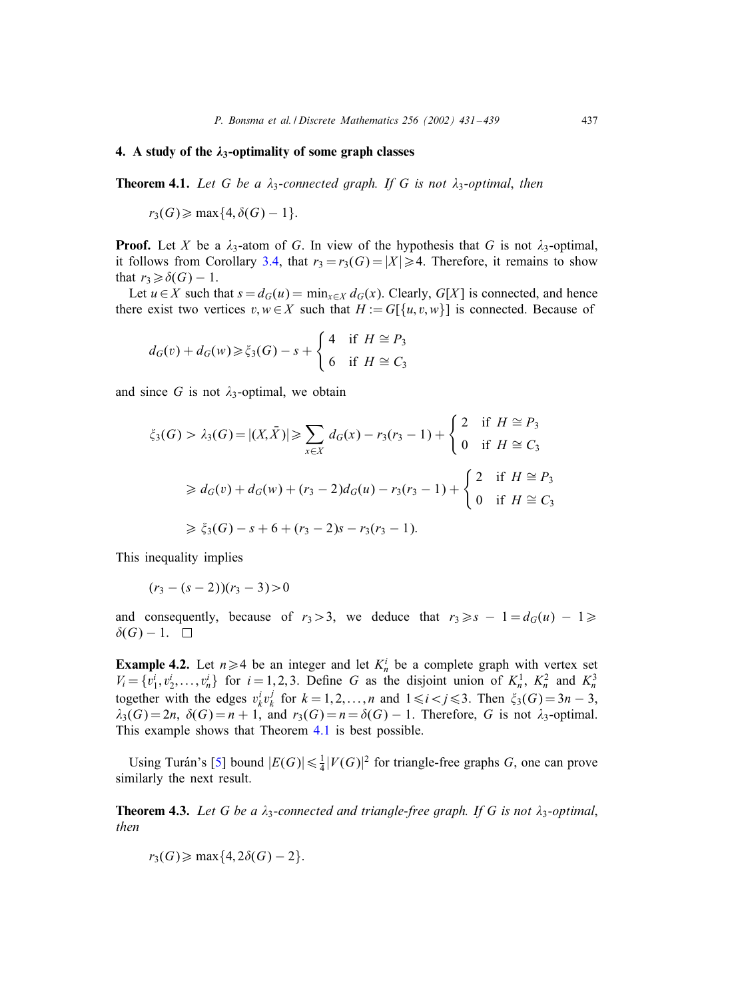## <span id="page-6-0"></span>4. A study of the  $\lambda_3$ -optimality of some graph classes

**Theorem 4.1.** Let G be a  $\lambda_3$ -connected graph. If G is not  $\lambda_3$ -optimal, then

$$
r_3(G) \geqslant \max\{4, \delta(G) - 1\}.
$$

**Proof.** Let X be a  $\lambda_3$ -atom of G. In view of the hypothesis that G is not  $\lambda_3$ -optimal, it follows from Corollary [3.4,](#page-5-0) that  $r_3 = r_3(G) = |X| \ge 4$ . Therefore, it remains to show that  $r_3 \geq \delta(G) - 1$ .

Let  $u \in X$  such that  $s = d_G(u) = \min_{x \in X} d_G(x)$ . Clearly,  $G[X]$  is connected, and hence there exist two vertices  $v, w \in X$  such that  $H := G[\{u, v, w\}]$  is connected. Because of

$$
d_G(v) + d_G(w) \ge \xi_3(G) - s + \begin{cases} 4 & \text{if } H \cong P_3 \\ 6 & \text{if } H \cong C_3 \end{cases}
$$

and since G is not  $\lambda_3$ -optimal, we obtain

$$
\xi_3(G) > \lambda_3(G) = |(X, \bar{X})| \ge \sum_{x \in X} d_G(x) - r_3(r_3 - 1) + \begin{cases} 2 & \text{if } H \cong P_3 \\ 0 & \text{if } H \cong C_3 \end{cases}
$$
\n
$$
\ge d_G(v) + d_G(w) + (r_3 - 2)d_G(u) - r_3(r_3 - 1) + \begin{cases} 2 & \text{if } H \cong P_3 \\ 0 & \text{if } H \cong C_3 \end{cases}
$$
\n
$$
\ge \xi_3(G) - s + 6 + (r_3 - 2)s - r_3(r_3 - 1).
$$

This inequality implies

$$
(r_3 - (s-2))(r_3 - 3) > 0
$$

and consequently, because of  $r_3 > 3$ , we deduce that  $r_3 \geq s - 1 = d_G(u) - 1 \geq$  $\delta(G) - 1$ .  $\Box$ 

**Example 4.2.** Let  $n \geq 4$  be an integer and let  $K_n^i$  be a complete graph with vertex set  $V_i = \{v_1^i, v_2^i, \dots, v_n^i\}$  for  $i = 1, 2, 3$ . Define G as the disjoint union of  $K_n^1$ ,  $K_n^2$  and  $K_n^3$ together with the edges  $v_k^i v_k^j$  for  $k = 1, 2, ..., n$  and  $1 \le i < j \le 3$ . Then  $\xi_3(G) = 3n - 3$ ,  $\lambda_3(G) = 2n$ ,  $\delta(G) = n + 1$ , and  $r_3(G) = n = \delta(G) - 1$ . Therefore, G is not  $\lambda_3$ -optimal. This example shows that Theorem 4.1 is best possible.

Using Turán's [\[5\]](#page-8-0) bound  $|E(G)| \leq \frac{1}{4}|V(G)|^2$  for triangle-free graphs G, one can prove similarly the next result.

**Theorem 4.3.** Let G be a  $\lambda_3$ -connected and triangle-free graph. If G is not  $\lambda_3$ -optimal, *then*

$$
r_3(G) \geqslant \max\{4, 2\delta(G) - 2\}.
$$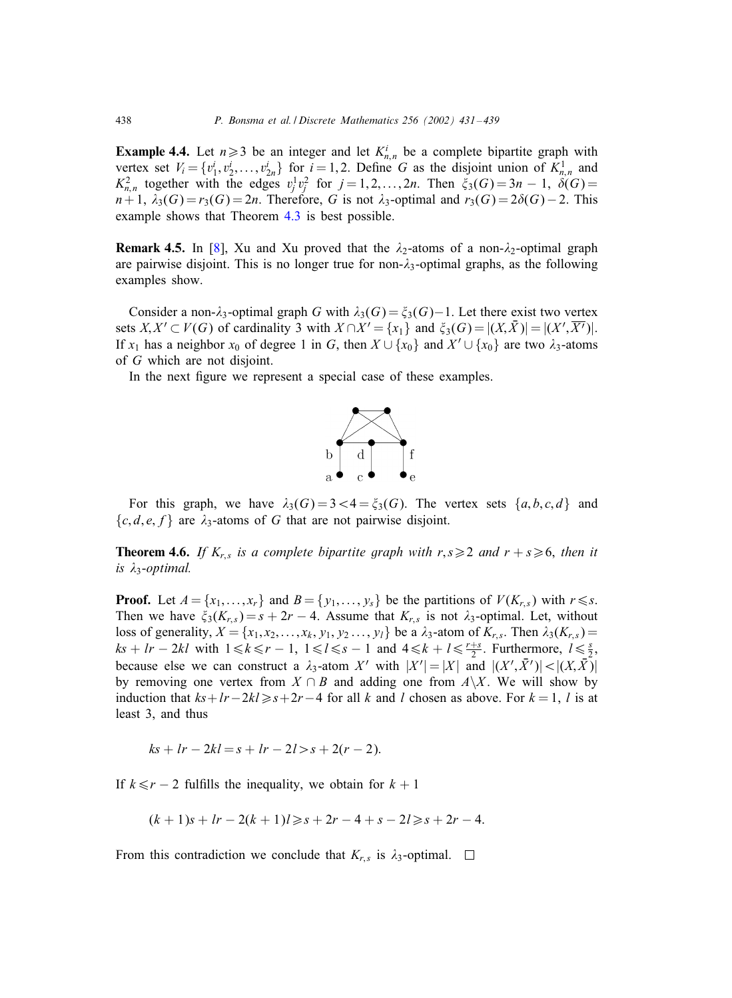**Example 4.4.** Let  $n \ge 3$  be an integer and let  $K_{n,n}^i$  be a complete bipartite graph with vertex set  $V_i = \{v_1^i, v_2^i, \dots, v_{2n}^i\}$  for  $i = 1, 2$ . Define G as the disjoint union of  $K_{n,n}^1$  and  $K_{n,n}^2$  together with the edges  $v_j^1 v_j^2$  for  $j = 1, 2, ..., 2n$ . Then  $\xi_3(G) = 3n - 1$ ,  $\delta(G) =$  $n+1$ ,  $\lambda_3(G) = r_3(G) = 2n$ . Therefore, G is not  $\lambda_3$ -optimal and  $r_3(G) = 2\delta(G) - 2$ . This example shows that Theorem [4.3](#page-6-0) is best possible.

**Remark 4.5.** In [\[8\]](#page-8-0), Xu and Xu proved that the  $\lambda_2$ -atoms of a non- $\lambda_2$ -optimal graph are pairwise disjoint. This is no longer true for non- $\lambda_3$ -optimal graphs, as the following examples show.

Consider a non- $\lambda_3$ -optimal graph G with  $\lambda_3(G) = \xi_3(G) - 1$ . Let there exist two vertex sets  $X, X' \subset V(G)$  of cardinality 3 with  $X \cap X' = \{x_1\}$  and  $\xi_3(G) = |(X, \overline{X})| = |(X', \overline{X'})|$ . If  $x_1$  has a neighbor  $x_0$  of degree 1 in G, then  $X \cup \{x_0\}$  and  $X' \cup \{x_0\}$  are two  $\lambda_3$ -atoms of G which are not disjoint.

In the next figure we represent a special case of these examples.



For this graph, we have  $\lambda_3(G)=3<4 = \xi_3(G)$ . The vertex sets  $\{a, b, c, d\}$  and  $\{c, d, e, f\}$  are  $\lambda_3$ -atoms of G that are not pairwise disjoint.

**Theorem 4.6.** If  $K_{r,s}$  is a complete bipartite graph with  $r, s \geq 2$  and  $r + s \geq 6$ , then it *is*  $\lambda_3$ -*optimal.* 

**Proof.** Let  $A = \{x_1, \ldots, x_r\}$  and  $B = \{y_1, \ldots, y_s\}$  be the partitions of  $V(K_{r,s})$  with  $r \le s$ . Then we have  $\xi_3(K_{r,s}) = s + 2r - 4$ . Assume that  $K_{r,s}$  is not  $\lambda_3$ -optimal. Let, without loss of generality,  $X = \{x_1, x_2, \ldots, x_k, y_1, y_2 \ldots, y_l\}$  be a  $\lambda_3$ -atom of  $K_{r,s}$ . Then  $\lambda_3(K_{r,s}) =$  $ks + lr - 2kl$  with  $1 \le k \le r - 1$ ,  $1 \le l \le s - 1$  and  $4 \le k + l \le \frac{r+s}{2}$ . Furthermore,  $l \le \frac{s}{2}$ , because else we can construct a  $\lambda_3$ -atom X' with  $|X'| = |X|$  and  $|(X', \overline{X}')| < |(X, \overline{X})|$ by removing one vertex from  $X \cap B$  and adding one from  $A \setminus X$ . We will show by induction that  $ks+l-2kl\geq s+2r-4$  for all k and l chosen as above. For  $k=1, l$  is at least 3, and thus

$$
ks + lr - 2kl = s + lr - 2l > s + 2(r - 2).
$$

If  $k \leq r - 2$  fulfills the inequality, we obtain for  $k + 1$ 

$$
(k+1)s + lr - 2(k+1)l \geq s + 2r - 4 + s - 2l \geq s + 2r - 4.
$$

From this contradiction we conclude that  $K_{r,s}$  is  $\lambda_3$ -optimal.  $\Box$